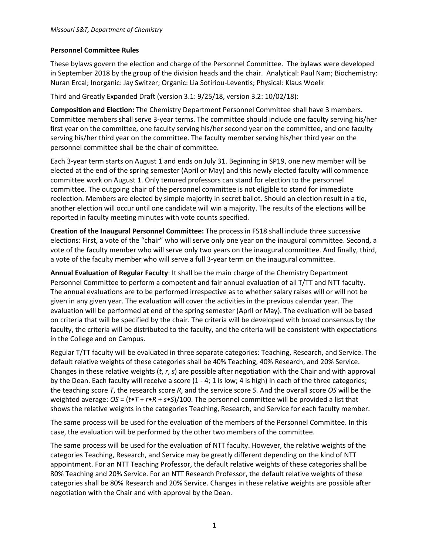## **Personnel Committee Rules**

These bylaws govern the election and charge of the Personnel Committee. The bylaws were developed in September 2018 by the group of the division heads and the chair. Analytical: Paul Nam; Biochemistry: Nuran Ercal; Inorganic: Jay Switzer; Organic: Lia Sotiriou-Leventis; Physical: Klaus Woelk

Third and Greatly Expanded Draft (version 3.1: 9/25/18, version 3.2: 10/02/18):

**Composition and Election:** The Chemistry Department Personnel Committee shall have 3 members. Committee members shall serve 3-year terms. The committee should include one faculty serving his/her first year on the committee, one faculty serving his/her second year on the committee, and one faculty serving his/her third year on the committee. The faculty member serving his/her third year on the personnel committee shall be the chair of committee.

Each 3-year term starts on August 1 and ends on July 31. Beginning in SP19, one new member will be elected at the end of the spring semester (April or May) and this newly elected faculty will commence committee work on August 1. Only tenured professors can stand for election to the personnel committee. The outgoing chair of the personnel committee is not eligible to stand for immediate reelection. Members are elected by simple majority in secret ballot. Should an election result in a tie, another election will occur until one candidate will win a majority. The results of the elections will be reported in faculty meeting minutes with vote counts specified.

**Creation of the Inaugural Personnel Committee:** The process in FS18 shall include three successive elections: First, a vote of the "chair" who will serve only one year on the inaugural committee. Second, a vote of the faculty member who will serve only two years on the inaugural committee. And finally, third, a vote of the faculty member who will serve a full 3-year term on the inaugural committee.

**Annual Evaluation of Regular Faculty**: It shall be the main charge of the Chemistry Department Personnel Committee to perform a competent and fair annual evaluation of all T/TT and NTT faculty. The annual evaluations are to be performed irrespective as to whether salary raises will or will not be given in any given year. The evaluation will cover the activities in the previous calendar year. The evaluation will be performed at end of the spring semester (April or May). The evaluation will be based on criteria that will be specified by the chair. The criteria will be developed with broad consensus by the faculty, the criteria will be distributed to the faculty, and the criteria will be consistent with expectations in the College and on Campus.

Regular T/TT faculty will be evaluated in three separate categories: Teaching, Research, and Service. The default relative weights of these categories shall be 40% Teaching, 40% Research, and 20% Service. Changes in these relative weights (*t*, *r*, *s*) are possible after negotiation with the Chair and with approval by the Dean. Each faculty will receive a score (1 - 4; 1 is low; 4 is high) in each of the three categories; the teaching score *T*, the research score *R*, and the service score *S*. And the overall score *OS* will be the weighted average: *OS* = (*t*•*T* + *r*•*R* + *s*•*S*)/100. The personnel committee will be provided a list that shows the relative weights in the categories Teaching, Research, and Service for each faculty member.

The same process will be used for the evaluation of the members of the Personnel Committee. In this case, the evaluation will be performed by the other two members of the committee.

The same process will be used for the evaluation of NTT faculty. However, the relative weights of the categories Teaching, Research, and Service may be greatly different depending on the kind of NTT appointment. For an NTT Teaching Professor, the default relative weights of these categories shall be 80% Teaching and 20% Service. For an NTT Research Professor, the default relative weights of these categories shall be 80% Research and 20% Service. Changes in these relative weights are possible after negotiation with the Chair and with approval by the Dean.